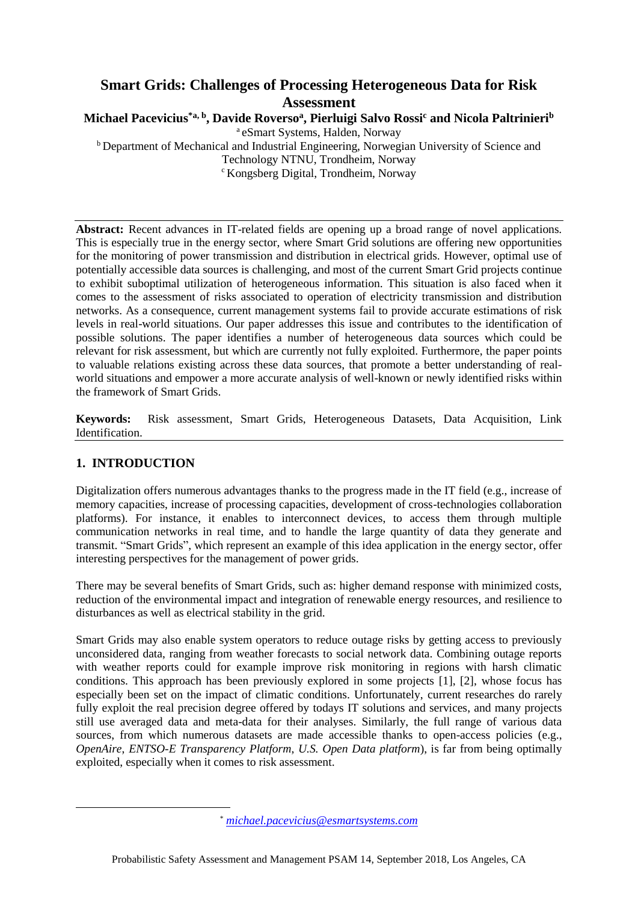# **Smart Grids: Challenges of Processing Heterogeneous Data for Risk Assessment**

**Michael Pacevicius\*a, b , Davide Roverso<sup>a</sup> , Pierluigi Salvo Rossi<sup>c</sup> and Nicola Paltrinieri<sup>b</sup>**

<sup>a</sup> eSmart Systems, Halden, Norway b Department of Mechanical and Industrial Engineering, Norwegian University of Science and Technology NTNU, Trondheim, Norway <sup>c</sup> Kongsberg Digital, Trondheim, Norway

**Abstract:** Recent advances in IT-related fields are opening up a broad range of novel applications. This is especially true in the energy sector, where Smart Grid solutions are offering new opportunities for the monitoring of power transmission and distribution in electrical grids. However, optimal use of potentially accessible data sources is challenging, and most of the current Smart Grid projects continue to exhibit suboptimal utilization of heterogeneous information. This situation is also faced when it comes to the assessment of risks associated to operation of electricity transmission and distribution networks. As a consequence, current management systems fail to provide accurate estimations of risk levels in real-world situations. Our paper addresses this issue and contributes to the identification of possible solutions. The paper identifies a number of heterogeneous data sources which could be relevant for risk assessment, but which are currently not fully exploited. Furthermore, the paper points to valuable relations existing across these data sources, that promote a better understanding of realworld situations and empower a more accurate analysis of well-known or newly identified risks within the framework of Smart Grids.

**Keywords:** Risk assessment, Smart Grids, Heterogeneous Datasets, Data Acquisition, Link Identification.

# **1. INTRODUCTION**

Digitalization offers numerous advantages thanks to the progress made in the IT field (e.g., increase of memory capacities, increase of processing capacities, development of cross-technologies collaboration platforms). For instance, it enables to interconnect devices, to access them through multiple communication networks in real time, and to handle the large quantity of data they generate and transmit. "Smart Grids", which represent an example of this idea application in the energy sector, offer interesting perspectives for the management of power grids.

There may be several benefits of Smart Grids, such as: higher demand response with minimized costs, reduction of the environmental impact and integration of renewable energy resources, and resilience to disturbances as well as electrical stability in the grid.

Smart Grids may also enable system operators to reduce outage risks by getting access to previously unconsidered data, ranging from weather forecasts to social network data. Combining outage reports with weather reports could for example improve risk monitoring in regions with harsh climatic conditions. This approach has been previously explored in some projects [1], [2], whose focus has especially been set on the impact of climatic conditions. Unfortunately, current researches do rarely fully exploit the real precision degree offered by todays IT solutions and services, and many projects still use averaged data and meta-data for their analyses. Similarly, the full range of various data sources, from which numerous datasets are made accessible thanks to open-access policies (e.g., *OpenAire*, *ENTSO-E Transparency Platform*, *U.S. Open Data platform*), is far from being optimally exploited, especially when it comes to risk assessment.

<sup>\*</sup> *[michael.pacevicius@esmartsystems.com](mailto:michael.pacevicius@esmartsystems.com)*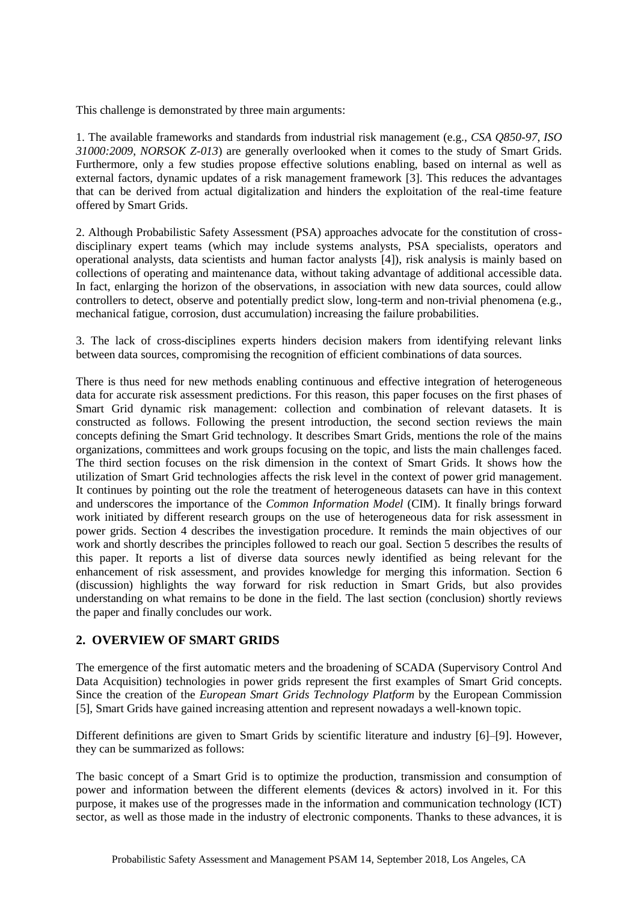This challenge is demonstrated by three main arguments:

1. The available frameworks and standards from industrial risk management (e.g., *CSA Q850-97*, *ISO 31000:2009*, *NORSOK Z-013*) are generally overlooked when it comes to the study of Smart Grids. Furthermore, only a few studies propose effective solutions enabling, based on internal as well as external factors, dynamic updates of a risk management framework [3]. This reduces the advantages that can be derived from actual digitalization and hinders the exploitation of the real-time feature offered by Smart Grids.

2. Although Probabilistic Safety Assessment (PSA) approaches advocate for the constitution of crossdisciplinary expert teams (which may include systems analysts, PSA specialists, operators and operational analysts, data scientists and human factor analysts [4]), risk analysis is mainly based on collections of operating and maintenance data, without taking advantage of additional accessible data. In fact, enlarging the horizon of the observations, in association with new data sources, could allow controllers to detect, observe and potentially predict slow, long-term and non-trivial phenomena (e.g., mechanical fatigue, corrosion, dust accumulation) increasing the failure probabilities.

3. The lack of cross-disciplines experts hinders decision makers from identifying relevant links between data sources, compromising the recognition of efficient combinations of data sources.

There is thus need for new methods enabling continuous and effective integration of heterogeneous data for accurate risk assessment predictions. For this reason, this paper focuses on the first phases of Smart Grid dynamic risk management: collection and combination of relevant datasets. It is constructed as follows. Following the present introduction, the second section reviews the main concepts defining the Smart Grid technology. It describes Smart Grids, mentions the role of the mains organizations, committees and work groups focusing on the topic, and lists the main challenges faced. The third section focuses on the risk dimension in the context of Smart Grids. It shows how the utilization of Smart Grid technologies affects the risk level in the context of power grid management. It continues by pointing out the role the treatment of heterogeneous datasets can have in this context and underscores the importance of the *Common Information Model* (CIM). It finally brings forward work initiated by different research groups on the use of heterogeneous data for risk assessment in power grids. Section 4 describes the investigation procedure. It reminds the main objectives of our work and shortly describes the principles followed to reach our goal. Section 5 describes the results of this paper. It reports a list of diverse data sources newly identified as being relevant for the enhancement of risk assessment, and provides knowledge for merging this information. Section 6 (discussion) highlights the way forward for risk reduction in Smart Grids, but also provides understanding on what remains to be done in the field. The last section (conclusion) shortly reviews the paper and finally concludes our work.

### **2. OVERVIEW OF SMART GRIDS**

The emergence of the first automatic meters and the broadening of SCADA (Supervisory Control And Data Acquisition) technologies in power grids represent the first examples of Smart Grid concepts. Since the creation of the *European Smart Grids Technology Platform* by the European Commission [5], Smart Grids have gained increasing attention and represent nowadays a well-known topic.

Different definitions are given to Smart Grids by scientific literature and industry [6]–[9]. However, they can be summarized as follows:

The basic concept of a Smart Grid is to optimize the production, transmission and consumption of power and information between the different elements (devices & actors) involved in it. For this purpose, it makes use of the progresses made in the information and communication technology (ICT) sector, as well as those made in the industry of electronic components. Thanks to these advances, it is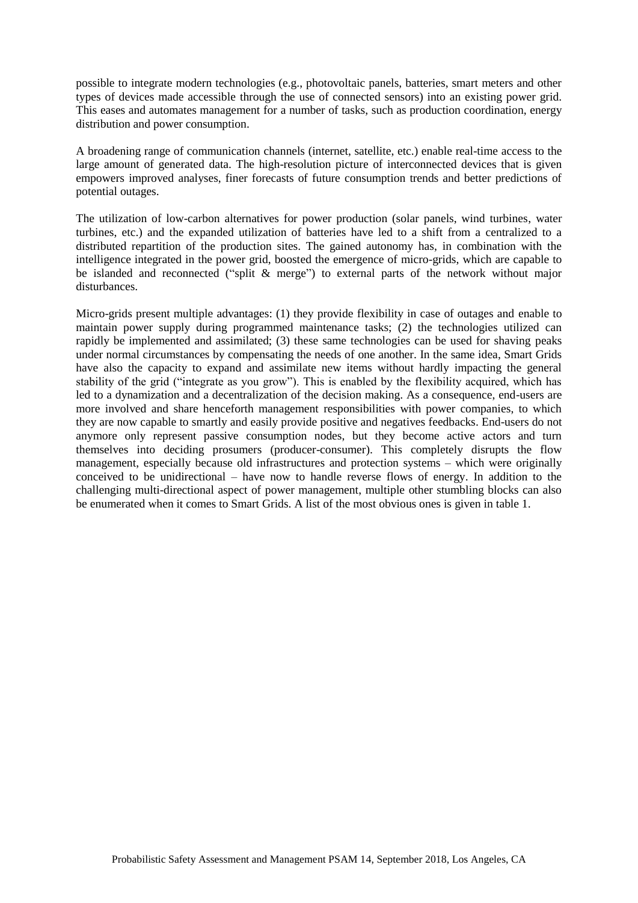possible to integrate modern technologies (e.g., photovoltaic panels, batteries, smart meters and other types of devices made accessible through the use of connected sensors) into an existing power grid. This eases and automates management for a number of tasks, such as production coordination, energy distribution and power consumption.

A broadening range of communication channels (internet, satellite, etc.) enable real-time access to the large amount of generated data. The high-resolution picture of interconnected devices that is given empowers improved analyses, finer forecasts of future consumption trends and better predictions of potential outages.

The utilization of low-carbon alternatives for power production (solar panels, wind turbines, water turbines, etc.) and the expanded utilization of batteries have led to a shift from a centralized to a distributed repartition of the production sites. The gained autonomy has, in combination with the intelligence integrated in the power grid, boosted the emergence of micro-grids, which are capable to be islanded and reconnected ("split & merge") to external parts of the network without major disturbances.

Micro-grids present multiple advantages: (1) they provide flexibility in case of outages and enable to maintain power supply during programmed maintenance tasks; (2) the technologies utilized can rapidly be implemented and assimilated; (3) these same technologies can be used for shaving peaks under normal circumstances by compensating the needs of one another. In the same idea, Smart Grids have also the capacity to expand and assimilate new items without hardly impacting the general stability of the grid ("integrate as you grow"). This is enabled by the flexibility acquired, which has led to a dynamization and a decentralization of the decision making. As a consequence, end-users are more involved and share henceforth management responsibilities with power companies, to which they are now capable to smartly and easily provide positive and negatives feedbacks. End-users do not anymore only represent passive consumption nodes, but they become active actors and turn themselves into deciding prosumers (producer-consumer). This completely disrupts the flow management, especially because old infrastructures and protection systems – which were originally conceived to be unidirectional – have now to handle reverse flows of energy. In addition to the challenging multi-directional aspect of power management, multiple other stumbling blocks can also be enumerated when it comes to Smart Grids. A list of the most obvious ones is given in table 1.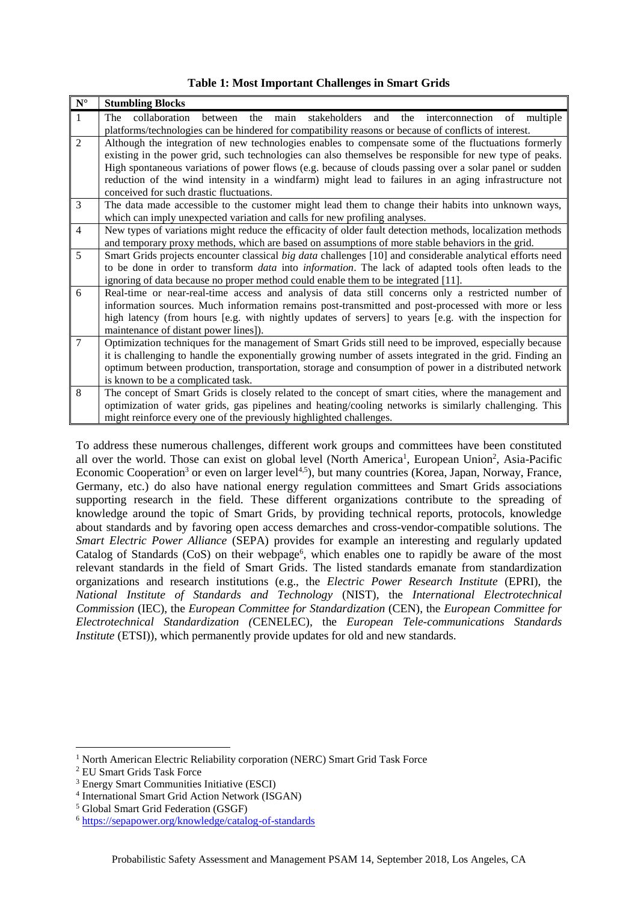| <b>Table 1: Most Important Challenges in Smart Grids</b> |  |  |  |  |  |  |  |
|----------------------------------------------------------|--|--|--|--|--|--|--|
|----------------------------------------------------------|--|--|--|--|--|--|--|

| $\overline{\mathbf{N}^{\circ}}$ | <b>Stumbling Blocks</b>                                                                                             |  |  |  |  |  |  |  |
|---------------------------------|---------------------------------------------------------------------------------------------------------------------|--|--|--|--|--|--|--|
| $\mathbf{1}$                    | between the main stakeholders<br>collaboration<br>and the interconnection of multiple<br>The                        |  |  |  |  |  |  |  |
|                                 | platforms/technologies can be hindered for compatibility reasons or because of conflicts of interest.               |  |  |  |  |  |  |  |
| $\overline{2}$                  | Although the integration of new technologies enables to compensate some of the fluctuations formerly                |  |  |  |  |  |  |  |
|                                 | existing in the power grid, such technologies can also themselves be responsible for new type of peaks.             |  |  |  |  |  |  |  |
|                                 | High spontaneous variations of power flows (e.g. because of clouds passing over a solar panel or sudden             |  |  |  |  |  |  |  |
|                                 | reduction of the wind intensity in a windfarm) might lead to failures in an aging infrastructure not                |  |  |  |  |  |  |  |
|                                 | conceived for such drastic fluctuations.                                                                            |  |  |  |  |  |  |  |
| 3                               | The data made accessible to the customer might lead them to change their habits into unknown ways,                  |  |  |  |  |  |  |  |
|                                 | which can imply unexpected variation and calls for new profiling analyses.                                          |  |  |  |  |  |  |  |
| $\overline{4}$                  | New types of variations might reduce the efficacity of older fault detection methods, localization methods          |  |  |  |  |  |  |  |
|                                 | and temporary proxy methods, which are based on assumptions of more stable behaviors in the grid.                   |  |  |  |  |  |  |  |
| 5                               | Smart Grids projects encounter classical big data challenges [10] and considerable analytical efforts need          |  |  |  |  |  |  |  |
|                                 | to be done in order to transform <i>data</i> into <i>information</i> . The lack of adapted tools often leads to the |  |  |  |  |  |  |  |
|                                 | ignoring of data because no proper method could enable them to be integrated [11].                                  |  |  |  |  |  |  |  |
| 6                               | Real-time or near-real-time access and analysis of data still concerns only a restricted number of                  |  |  |  |  |  |  |  |
|                                 | information sources. Much information remains post-transmitted and post-processed with more or less                 |  |  |  |  |  |  |  |
|                                 | high latency (from hours [e.g. with nightly updates of servers] to years [e.g. with the inspection for              |  |  |  |  |  |  |  |
|                                 | maintenance of distant power lines]).                                                                               |  |  |  |  |  |  |  |
| $\overline{7}$                  | Optimization techniques for the management of Smart Grids still need to be improved, especially because             |  |  |  |  |  |  |  |
|                                 | it is challenging to handle the exponentially growing number of assets integrated in the grid. Finding an           |  |  |  |  |  |  |  |
|                                 | optimum between production, transportation, storage and consumption of power in a distributed network               |  |  |  |  |  |  |  |
|                                 | is known to be a complicated task.                                                                                  |  |  |  |  |  |  |  |
| 8                               | The concept of Smart Grids is closely related to the concept of smart cities, where the management and              |  |  |  |  |  |  |  |
|                                 | optimization of water grids, gas pipelines and heating/cooling networks is similarly challenging. This              |  |  |  |  |  |  |  |
|                                 | might reinforce every one of the previously highlighted challenges.                                                 |  |  |  |  |  |  |  |

To address these numerous challenges, different work groups and committees have been constituted all over the world. Those can exist on global level (North America<sup>1</sup>, European Union<sup>2</sup>, Asia-Pacific Economic Cooperation<sup>3</sup> or even on larger level<sup>4,5</sup>), but many countries (Korea, Japan, Norway, France, Germany, etc.) do also have national energy regulation committees and Smart Grids associations supporting research in the field. These different organizations contribute to the spreading of knowledge around the topic of Smart Grids, by providing technical reports, protocols, knowledge about standards and by favoring open access demarches and cross-vendor-compatible solutions. The *Smart Electric Power Alliance* (SEPA) provides for example an interesting and regularly updated Catalog of Standards (CoS) on their webpage<sup>6</sup>, which enables one to rapidly be aware of the most relevant standards in the field of Smart Grids. The listed standards emanate from standardization organizations and research institutions (e.g., the *Electric Power Research Institute* (EPRI), the *National Institute of Standards and Technology* (NIST), the *International Electrotechnical Commission* (IEC), the *European Committee for Standardization* (CEN), the *European Committee for Electrotechnical Standardization (*CENELEC), the *European Tele-communications Standards Institute* (ETSI)), which permanently provide updates for old and new standards.

<sup>&</sup>lt;sup>1</sup> North American Electric Reliability corporation (NERC) Smart Grid Task Force

<sup>2</sup> EU Smart Grids Task Force

<sup>3</sup> Energy Smart Communities Initiative (ESCI)

<sup>4</sup> International Smart Grid Action Network (ISGAN)

<sup>5</sup> Global Smart Grid Federation (GSGF)

<sup>6</sup> <https://sepapower.org/knowledge/catalog-of-standards>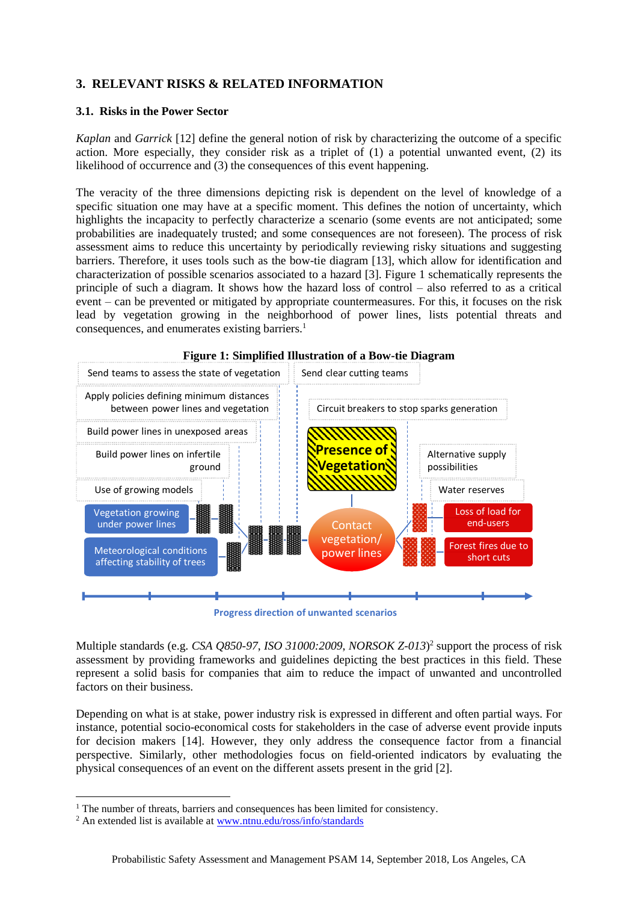## **3. RELEVANT RISKS & RELATED INFORMATION**

#### **3.1. Risks in the Power Sector**

*Kaplan* and *Garrick* [12] define the general notion of risk by characterizing the outcome of a specific action. More especially, they consider risk as a triplet of (1) a potential unwanted event, (2) its likelihood of occurrence and (3) the consequences of this event happening.

The veracity of the three dimensions depicting risk is dependent on the level of knowledge of a specific situation one may have at a specific moment. This defines the notion of uncertainty, which highlights the incapacity to perfectly characterize a scenario (some events are not anticipated; some probabilities are inadequately trusted; and some consequences are not foreseen). The process of risk assessment aims to reduce this uncertainty by periodically reviewing risky situations and suggesting barriers. Therefore, it uses tools such as the bow-tie diagram [13], which allow for identification and characterization of possible scenarios associated to a hazard [3]. Figure 1 schematically represents the principle of such a diagram. It shows how the hazard loss of control – also referred to as a critical event – can be prevented or mitigated by appropriate countermeasures. For this, it focuses on the risk lead by vegetation growing in the neighborhood of power lines, lists potential threats and consequences, and enumerates existing barriers.<sup>1</sup>



**Progress direction of unwanted scenarios** 

Multiple standards (e.g. *CSA Q850-97*, *ISO 31000:2009*, *NORSOK Z-013*) 2 support the process of risk assessment by providing frameworks and guidelines depicting the best practices in this field. These represent a solid basis for companies that aim to reduce the impact of unwanted and uncontrolled factors on their business.

Depending on what is at stake, power industry risk is expressed in different and often partial ways. For instance, potential socio-economical costs for stakeholders in the case of adverse event provide inputs for decision makers [14]. However, they only address the consequence factor from a financial perspective. Similarly, other methodologies focus on field-oriented indicators by evaluating the physical consequences of an event on the different assets present in the grid [2].

<sup>&</sup>lt;sup>1</sup> The number of threats, barriers and consequences has been limited for consistency.

<sup>2</sup> An extended list is available at [www.ntnu.edu/ross/info/standards](http://www.ntnu.edu/ross/info/standards)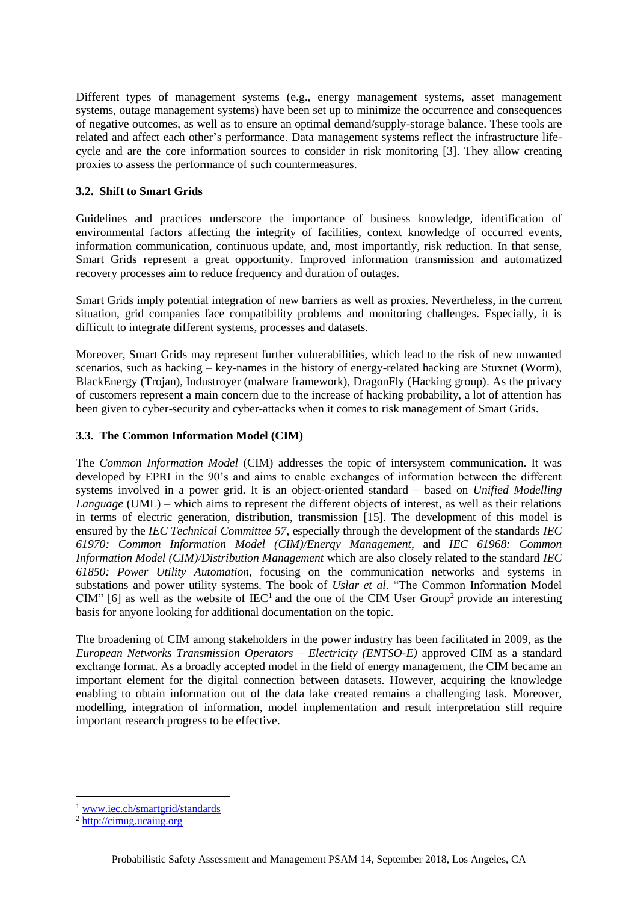Different types of management systems (e.g., energy management systems, asset management systems, outage management systems) have been set up to minimize the occurrence and consequences of negative outcomes, as well as to ensure an optimal demand/supply-storage balance. These tools are related and affect each other's performance. Data management systems reflect the infrastructure lifecycle and are the core information sources to consider in risk monitoring [3]. They allow creating proxies to assess the performance of such countermeasures.

#### **3.2. Shift to Smart Grids**

Guidelines and practices underscore the importance of business knowledge, identification of environmental factors affecting the integrity of facilities, context knowledge of occurred events, information communication, continuous update, and, most importantly, risk reduction. In that sense, Smart Grids represent a great opportunity. Improved information transmission and automatized recovery processes aim to reduce frequency and duration of outages.

Smart Grids imply potential integration of new barriers as well as proxies. Nevertheless, in the current situation, grid companies face compatibility problems and monitoring challenges. Especially, it is difficult to integrate different systems, processes and datasets.

Moreover, Smart Grids may represent further vulnerabilities, which lead to the risk of new unwanted scenarios, such as hacking – key-names in the history of energy-related hacking are Stuxnet (Worm), BlackEnergy (Trojan), Industroyer (malware framework), DragonFly (Hacking group). As the privacy of customers represent a main concern due to the increase of hacking probability, a lot of attention has been given to cyber-security and cyber-attacks when it comes to risk management of Smart Grids.

#### **3.3. The Common Information Model (CIM)**

The *Common Information Model* (CIM) addresses the topic of intersystem communication. It was developed by EPRI in the 90's and aims to enable exchanges of information between the different systems involved in a power grid. It is an object-oriented standard – based on *Unified Modelling Language* (UML) – which aims to represent the different objects of interest, as well as their relations in terms of electric generation, distribution, transmission [15]. The development of this model is ensured by the *IEC Technical Committee 57*, especially through the development of the standards *IEC 61970: Common Information Model (CIM)/Energy Management*, and *IEC 61968: Common Information Model (CIM)/Distribution Management* which are also closely related to the standard *IEC 61850: Power Utility Automation*, focusing on the communication networks and systems in substations and power utility systems. The book of *Uslar et al.* "The Common Information Model CIM" [6] as well as the website of  $\text{IEC}^1$  and the one of the CIM User Group<sup>2</sup> provide an interesting basis for anyone looking for additional documentation on the topic.

The broadening of CIM among stakeholders in the power industry has been facilitated in 2009, as the *European Networks Transmission Operators – Electricity (ENTSO-E)* approved CIM as a standard exchange format. As a broadly accepted model in the field of energy management, the CIM became an important element for the digital connection between datasets. However, acquiring the knowledge enabling to obtain information out of the data lake created remains a challenging task. Moreover, modelling, integration of information, model implementation and result interpretation still require important research progress to be effective.

<sup>1</sup> [www.iec.ch/smartgrid/standards](http://www.iec.ch/smartgrid/standards)

<sup>&</sup>lt;sup>2</sup> [http://cimug.ucaiug.org](http://cimug.ucaiug.org/)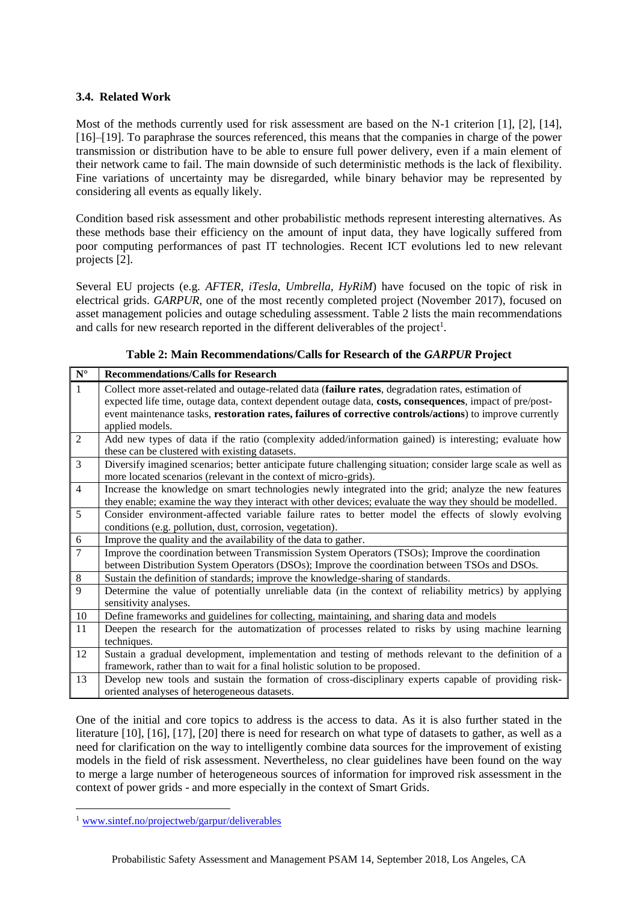#### **3.4. Related Work**

Most of the methods currently used for risk assessment are based on the N-1 criterion [1], [2], [14], [16]–[19]. To paraphrase the sources referenced, this means that the companies in charge of the power transmission or distribution have to be able to ensure full power delivery, even if a main element of their network came to fail. The main downside of such deterministic methods is the lack of flexibility. Fine variations of uncertainty may be disregarded, while binary behavior may be represented by considering all events as equally likely.

Condition based risk assessment and other probabilistic methods represent interesting alternatives. As these methods base their efficiency on the amount of input data, they have logically suffered from poor computing performances of past IT technologies. Recent ICT evolutions led to new relevant projects [2].

Several EU projects (e.g. *AFTER*, *iTesla*, *Umbrella*, *HyRiM*) have focused on the topic of risk in electrical grids. *GARPUR*, one of the most recently completed project (November 2017), focused on asset management policies and outage scheduling assessment. Table 2 lists the main recommendations and calls for new research reported in the different deliverables of the project<sup>1</sup>.

| ${\bf N}^{\circ}$ | <b>Recommendations/Calls for Research</b>                                                                     |
|-------------------|---------------------------------------------------------------------------------------------------------------|
| $\mathbf{1}$      | Collect more asset-related and outage-related data (failure rates, degradation rates, estimation of           |
|                   | expected life time, outage data, context dependent outage data, costs, consequences, impact of pre/post-      |
|                   | event maintenance tasks, restoration rates, failures of corrective controls/actions) to improve currently     |
|                   | applied models.                                                                                               |
| $\overline{2}$    | Add new types of data if the ratio (complexity added/information gained) is interesting; evaluate how         |
|                   | these can be clustered with existing datasets.                                                                |
| $\overline{3}$    | Diversify imagined scenarios; better anticipate future challenging situation; consider large scale as well as |
|                   | more located scenarios (relevant in the context of micro-grids).                                              |
| $\overline{4}$    | Increase the knowledge on smart technologies newly integrated into the grid; analyze the new features         |
|                   | they enable; examine the way they interact with other devices; evaluate the way they should be modelled.      |
| 5                 | Consider environment-affected variable failure rates to better model the effects of slowly evolving           |
|                   | conditions (e.g. pollution, dust, corrosion, vegetation).                                                     |
| $6\,$             | Improve the quality and the availability of the data to gather.                                               |
| $\overline{7}$    | Improve the coordination between Transmission System Operators (TSOs); Improve the coordination               |
|                   | between Distribution System Operators (DSOs); Improve the coordination between TSOs and DSOs.                 |
| $\,8\,$           | Sustain the definition of standards; improve the knowledge-sharing of standards.                              |
| 9                 | Determine the value of potentially unreliable data (in the context of reliability metrics) by applying        |
|                   | sensitivity analyses.                                                                                         |
| 10                | Define frameworks and guidelines for collecting, maintaining, and sharing data and models                     |
| 11                | Deepen the research for the automatization of processes related to risks by using machine learning            |
|                   | techniques.                                                                                                   |
| 12                | Sustain a gradual development, implementation and testing of methods relevant to the definition of a          |
|                   | framework, rather than to wait for a final holistic solution to be proposed.                                  |
| 13                | Develop new tools and sustain the formation of cross-disciplinary experts capable of providing risk-          |
|                   | oriented analyses of heterogeneous datasets.                                                                  |

**Table 2: Main Recommendations/Calls for Research of the** *GARPUR* **Project**

One of the initial and core topics to address is the access to data. As it is also further stated in the literature [10], [16], [17], [20] there is need for research on what type of datasets to gather, as well as a need for clarification on the way to intelligently combine data sources for the improvement of existing models in the field of risk assessment. Nevertheless, no clear guidelines have been found on the way to merge a large number of heterogeneous sources of information for improved risk assessment in the context of power grids - and more especially in the context of Smart Grids.

<sup>1</sup> [www.sintef.no/projectweb/garpur/deliverables](http://www.sintef.no/projectweb/garpur/deliverables)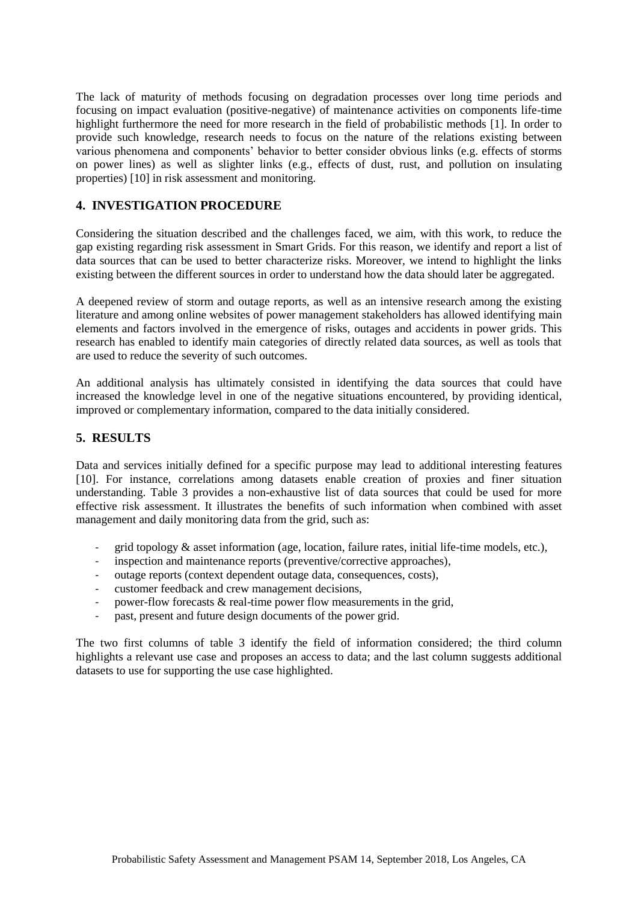The lack of maturity of methods focusing on degradation processes over long time periods and focusing on impact evaluation (positive-negative) of maintenance activities on components life-time highlight furthermore the need for more research in the field of probabilistic methods [1]. In order to provide such knowledge, research needs to focus on the nature of the relations existing between various phenomena and components' behavior to better consider obvious links (e.g. effects of storms on power lines) as well as slighter links (e.g., effects of dust, rust, and pollution on insulating properties) [10] in risk assessment and monitoring.

### **4. INVESTIGATION PROCEDURE**

Considering the situation described and the challenges faced, we aim, with this work, to reduce the gap existing regarding risk assessment in Smart Grids. For this reason, we identify and report a list of data sources that can be used to better characterize risks. Moreover, we intend to highlight the links existing between the different sources in order to understand how the data should later be aggregated.

A deepened review of storm and outage reports, as well as an intensive research among the existing literature and among online websites of power management stakeholders has allowed identifying main elements and factors involved in the emergence of risks, outages and accidents in power grids. This research has enabled to identify main categories of directly related data sources, as well as tools that are used to reduce the severity of such outcomes.

An additional analysis has ultimately consisted in identifying the data sources that could have increased the knowledge level in one of the negative situations encountered, by providing identical, improved or complementary information, compared to the data initially considered.

#### **5. RESULTS**

Data and services initially defined for a specific purpose may lead to additional interesting features [10]. For instance, correlations among datasets enable creation of proxies and finer situation understanding. Table 3 provides a non-exhaustive list of data sources that could be used for more effective risk assessment. It illustrates the benefits of such information when combined with asset management and daily monitoring data from the grid, such as:

- $\alpha$  grid topology  $\&$  asset information (age, location, failure rates, initial life-time models, etc.),
- inspection and maintenance reports (preventive/corrective approaches),
- outage reports (context dependent outage data, consequences, costs),
- customer feedback and crew management decisions,
- power-flow forecasts  $&$  real-time power flow measurements in the grid,
- past, present and future design documents of the power grid.

The two first columns of table 3 identify the field of information considered; the third column highlights a relevant use case and proposes an access to data; and the last column suggests additional datasets to use for supporting the use case highlighted.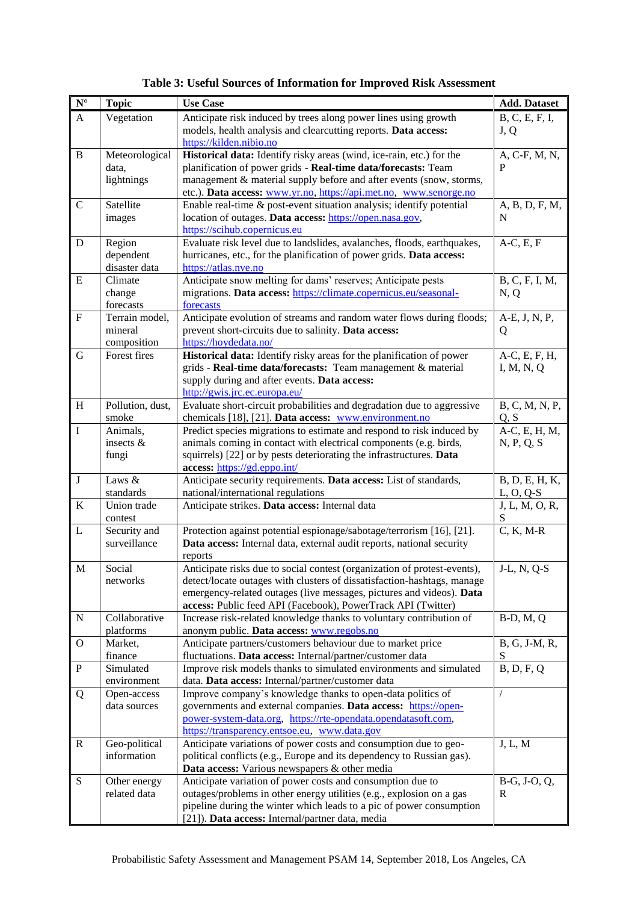| $\overline{\mathbf{N}^{\circ}}$ | <b>Topic</b>                | <b>Use Case</b>                                                                                                                          | <b>Add. Dataset</b>    |
|---------------------------------|-----------------------------|------------------------------------------------------------------------------------------------------------------------------------------|------------------------|
| $\mathbf{A}$                    | Vegetation                  | Anticipate risk induced by trees along power lines using growth<br>models, health analysis and clearcutting reports. Data access:        | B, C, E, F, I,<br>J, Q |
|                                 |                             | https://kilden.nibio.no                                                                                                                  |                        |
| $\, {\bf B}$                    | Meteorological<br>data.     | Historical data: Identify risky areas (wind, ice-rain, etc.) for the<br>planification of power grids - Real-time data/forecasts: Team    | A, C-F, M, N,<br>P     |
|                                 | lightnings                  | management & material supply before and after events (snow, storms,                                                                      |                        |
|                                 |                             | etc.). Data access: www.yr.no, https://api.met.no, www.senorge.no                                                                        |                        |
| $\mathbf C$                     | Satellite                   | Enable real-time & post-event situation analysis; identify potential                                                                     | A, B, D, F, M,         |
|                                 | images                      | location of outages. Data access: https://open.nasa.gov,                                                                                 | N                      |
|                                 |                             | https://scihub.copernicus.eu                                                                                                             |                        |
| $\mathbf D$                     | Region                      | Evaluate risk level due to landslides, avalanches, floods, earthquakes,                                                                  | $A-C, E, F$            |
|                                 | dependent                   | hurricanes, etc., for the planification of power grids. Data access:                                                                     |                        |
|                                 | disaster data               | https://atlas.nve.no                                                                                                                     |                        |
| ${\bf E}$                       | Climate                     | Anticipate snow melting for dams' reserves; Anticipate pests                                                                             | B, C, F, I, M,         |
|                                 | change<br>forecasts         | migrations. Data access: https://climate.copernicus.eu/seasonal-<br>forecasts                                                            | N, Q                   |
| ${\bf F}$                       | Terrain model,              | Anticipate evolution of streams and random water flows during floods;                                                                    | A-E, J, N, P,          |
|                                 | mineral                     | prevent short-circuits due to salinity. Data access:                                                                                     | Q                      |
|                                 | composition                 | https://hoydedata.no/                                                                                                                    |                        |
| $\mathbf G$                     | Forest fires                | Historical data: Identify risky areas for the planification of power                                                                     | A-C, E, F, H,          |
|                                 |                             | grids - Real-time data/forecasts: Team management & material                                                                             | I, M, N, Q             |
|                                 |                             | supply during and after events. Data access:                                                                                             |                        |
|                                 |                             | http://gwis.jrc.ec.europa.eu/                                                                                                            |                        |
| $\boldsymbol{\mathrm{H}}$       | Pollution, dust,            | Evaluate short-circuit probabilities and degradation due to aggressive                                                                   | B, C, M, N, P,         |
|                                 | smoke                       | chemicals [18], [21]. Data access: www.environment.no                                                                                    | Q, S                   |
| $\mathbf I$                     | Animals,                    | Predict species migrations to estimate and respond to risk induced by                                                                    | A-C, E, H, M,          |
|                                 | insects &<br>fungi          | animals coming in contact with electrical components (e.g. birds,<br>squirrels) [22] or by pests deteriorating the infrastructures. Data | N, P, Q, S             |
|                                 |                             | access: https://gd.eppo.int/                                                                                                             |                        |
| $\bf J$                         | Laws &                      | Anticipate security requirements. Data access: List of standards,                                                                        | B, D, E, H, K,         |
|                                 | standards                   | national/international regulations                                                                                                       | $L, O, Q-S$            |
| $\bf K$                         | Union trade                 | Anticipate strikes. Data access: Internal data                                                                                           | J, L, M, O, R,         |
|                                 | contest                     |                                                                                                                                          | S                      |
| $\mathbf L$                     | Security and                | Protection against potential espionage/sabotage/terrorism [16], [21].                                                                    | $C, K, M-R$            |
|                                 | surveillance                | Data access: Internal data, external audit reports, national security                                                                    |                        |
| $\mathbf M$                     | Social                      | reports<br>Anticipate risks due to social contest (organization of protest-events),                                                      | J-L, N, Q-S            |
|                                 | networks                    | detect/locate outages with clusters of dissatisfaction-hashtags, manage                                                                  |                        |
|                                 |                             | emergency-related outages (live messages, pictures and videos). Data                                                                     |                        |
|                                 |                             | access: Public feed API (Facebook), PowerTrack API (Twitter)                                                                             |                        |
| ${\bf N}$                       | Collaborative               | Increase risk-related knowledge thanks to voluntary contribution of                                                                      | $B-D, M, Q$            |
|                                 | platforms                   | anonym public. Data access: www.regobs.no                                                                                                |                        |
| $\mathbf O$                     | Market,                     | Anticipate partners/customers behaviour due to market price                                                                              | B, G, J-M, R,          |
|                                 | finance                     | fluctuations. Data access: Internal/partner/customer data                                                                                | S                      |
| ${\bf P}$                       | Simulated                   | Improve risk models thanks to simulated environments and simulated                                                                       | B, D, F, Q             |
|                                 | environment                 | data. Data access: Internal/partner/customer data                                                                                        |                        |
| Q                               | Open-access<br>data sources | Improve company's knowledge thanks to open-data politics of<br>governments and external companies. Data access: https://open-            |                        |
|                                 |                             | power-system-data.org, https://rte-opendata.opendatasoft.com,                                                                            |                        |
|                                 |                             | https://transparency.entsoe.eu, www.data.gov                                                                                             |                        |
| ${\bf R}$                       | Geo-political               | Anticipate variations of power costs and consumption due to geo-                                                                         | J, L, M                |
|                                 | information                 | political conflicts (e.g., Europe and its dependency to Russian gas).                                                                    |                        |
|                                 |                             | Data access: Various newspapers & other media                                                                                            |                        |
| ${\bf S}$                       | Other energy                | Anticipate variation of power costs and consumption due to                                                                               | B-G, J-O, Q,           |
|                                 | related data                | outages/problems in other energy utilities (e.g., explosion on a gas                                                                     | R                      |
|                                 |                             | pipeline during the winter which leads to a pic of power consumption                                                                     |                        |
|                                 |                             | [21]). Data access: Internal/partner data, media                                                                                         |                        |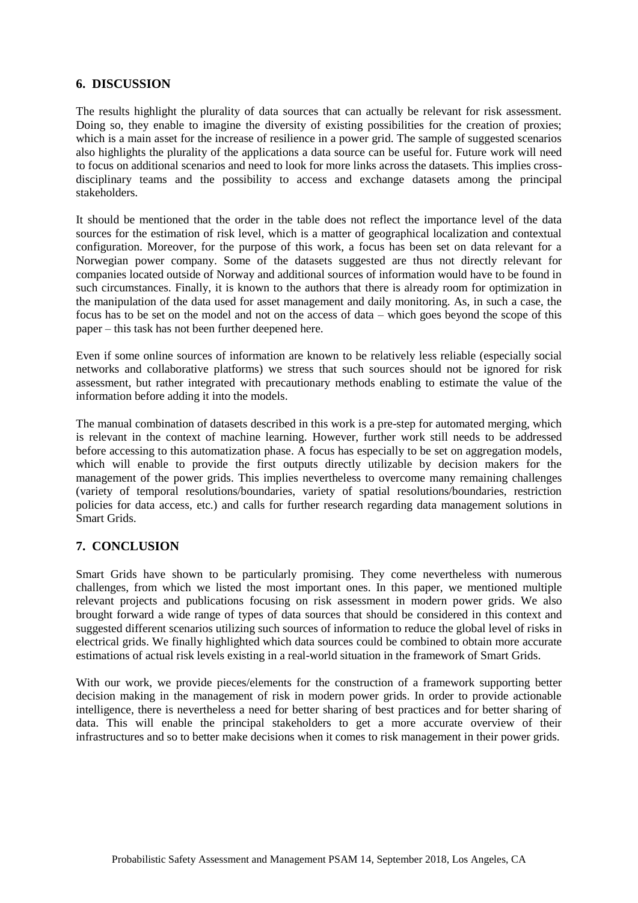#### **6. DISCUSSION**

The results highlight the plurality of data sources that can actually be relevant for risk assessment. Doing so, they enable to imagine the diversity of existing possibilities for the creation of proxies; which is a main asset for the increase of resilience in a power grid. The sample of suggested scenarios also highlights the plurality of the applications a data source can be useful for. Future work will need to focus on additional scenarios and need to look for more links across the datasets. This implies crossdisciplinary teams and the possibility to access and exchange datasets among the principal stakeholders.

It should be mentioned that the order in the table does not reflect the importance level of the data sources for the estimation of risk level, which is a matter of geographical localization and contextual configuration. Moreover, for the purpose of this work, a focus has been set on data relevant for a Norwegian power company. Some of the datasets suggested are thus not directly relevant for companies located outside of Norway and additional sources of information would have to be found in such circumstances. Finally, it is known to the authors that there is already room for optimization in the manipulation of the data used for asset management and daily monitoring. As, in such a case, the focus has to be set on the model and not on the access of data – which goes beyond the scope of this paper – this task has not been further deepened here.

Even if some online sources of information are known to be relatively less reliable (especially social networks and collaborative platforms) we stress that such sources should not be ignored for risk assessment, but rather integrated with precautionary methods enabling to estimate the value of the information before adding it into the models.

The manual combination of datasets described in this work is a pre-step for automated merging, which is relevant in the context of machine learning. However, further work still needs to be addressed before accessing to this automatization phase. A focus has especially to be set on aggregation models, which will enable to provide the first outputs directly utilizable by decision makers for the management of the power grids. This implies nevertheless to overcome many remaining challenges (variety of temporal resolutions/boundaries, variety of spatial resolutions/boundaries, restriction policies for data access, etc.) and calls for further research regarding data management solutions in Smart Grids.

#### **7. CONCLUSION**

Smart Grids have shown to be particularly promising. They come nevertheless with numerous challenges, from which we listed the most important ones. In this paper, we mentioned multiple relevant projects and publications focusing on risk assessment in modern power grids. We also brought forward a wide range of types of data sources that should be considered in this context and suggested different scenarios utilizing such sources of information to reduce the global level of risks in electrical grids. We finally highlighted which data sources could be combined to obtain more accurate estimations of actual risk levels existing in a real-world situation in the framework of Smart Grids.

With our work, we provide pieces/elements for the construction of a framework supporting better decision making in the management of risk in modern power grids. In order to provide actionable intelligence, there is nevertheless a need for better sharing of best practices and for better sharing of data. This will enable the principal stakeholders to get a more accurate overview of their infrastructures and so to better make decisions when it comes to risk management in their power grids.